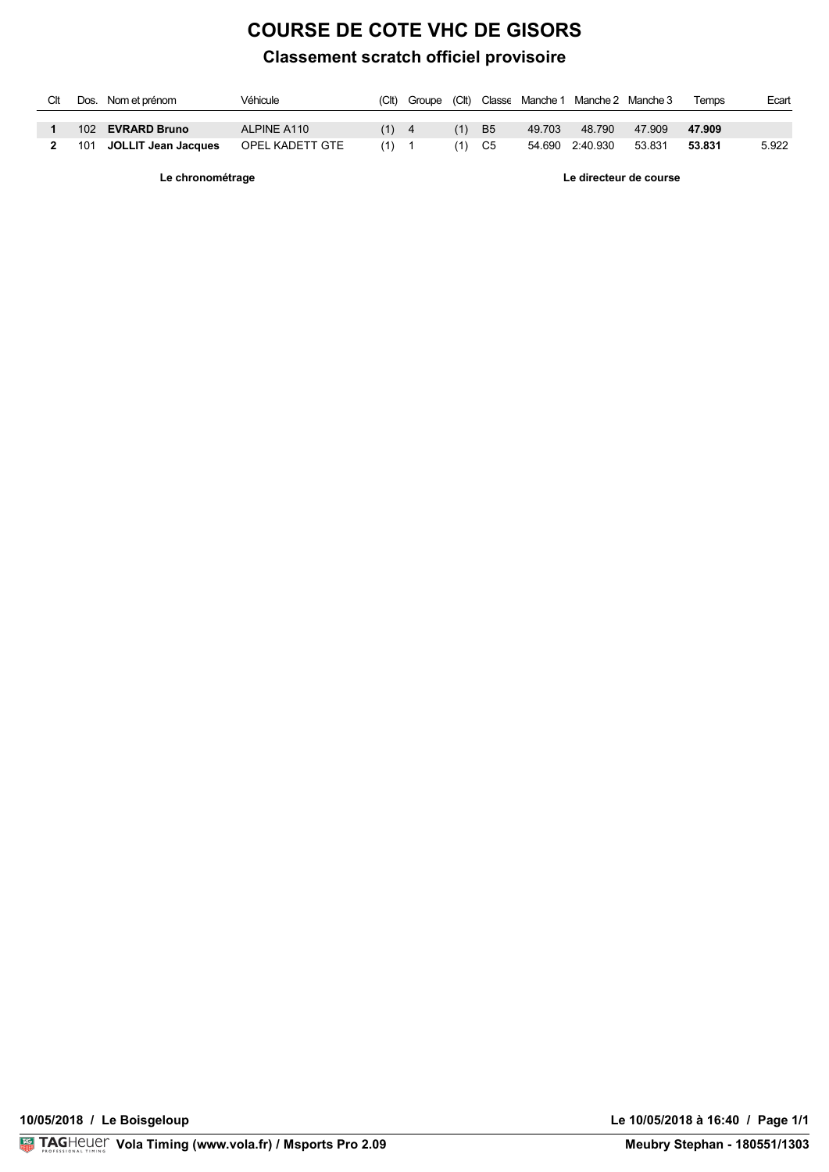## **COURSE DE COTE VHC DE GISORS**

## **Classement scratch officiel provisoire**

| Clt | Dos. Nom et prénom      | Véhicule        | (Clt) |     |           |        | Groupe (Clt) Classe Manche 1 Manche 2 Manche 3 |        | Temps  | Ecart |
|-----|-------------------------|-----------------|-------|-----|-----------|--------|------------------------------------------------|--------|--------|-------|
|     |                         |                 |       |     |           |        |                                                |        |        |       |
|     | 102 EVRARD Bruno        | ALPINE A110     | (1)   | (1) | <b>B5</b> | 49.703 | 48.790                                         | 47.909 | 47.909 |       |
|     | 101 JOLLIT Jean Jacques | OPEL KADETT GTE | (1)   |     | C5        |        | 54.690  2:40.930  53.831                       |        | 53.831 | 5.922 |

**Le chronométrage Le directeur de course**